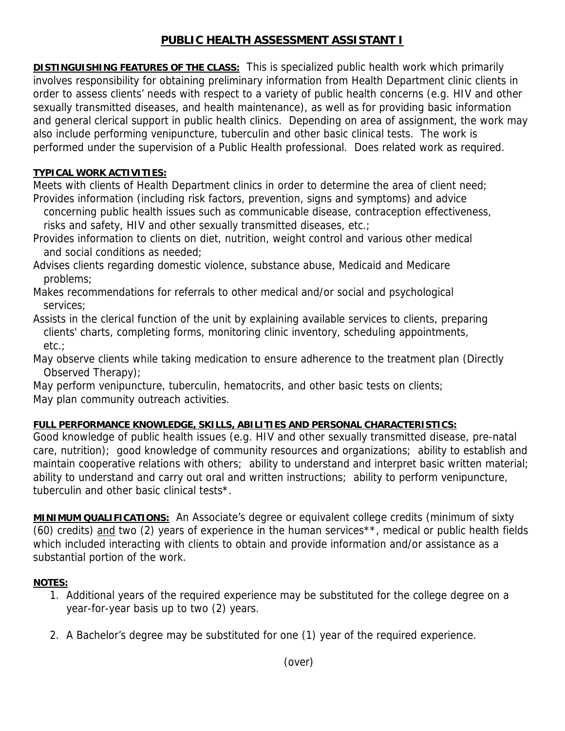## **PUBLIC HEALTH ASSESSMENT ASSISTANT I**

**DISTINGUISHING FEATURES OF THE CLASS:** This is specialized public health work which primarily involves responsibility for obtaining preliminary information from Health Department clinic clients in order to assess clients' needs with respect to a variety of public health concerns (e.g. HIV and other sexually transmitted diseases, and health maintenance), as well as for providing basic information and general clerical support in public health clinics. Depending on area of assignment, the work may also include performing venipuncture, tuberculin and other basic clinical tests. The work is performed under the supervision of a Public Health professional. Does related work as required.

## **TYPICAL WORK ACTIVITIES:**

Meets with clients of Health Department clinics in order to determine the area of client need; Provides information (including risk factors, prevention, signs and symptoms) and advice

 concerning public health issues such as communicable disease, contraception effectiveness, risks and safety, HIV and other sexually transmitted diseases, etc.;

Provides information to clients on diet, nutrition, weight control and various other medical and social conditions as needed;

Advises clients regarding domestic violence, substance abuse, Medicaid and Medicare problems;

Makes recommendations for referrals to other medical and/or social and psychological services;

Assists in the clerical function of the unit by explaining available services to clients, preparing clients' charts, completing forms, monitoring clinic inventory, scheduling appointments, etc.;

May observe clients while taking medication to ensure adherence to the treatment plan (Directly Observed Therapy);

May perform venipuncture, tuberculin, hematocrits, and other basic tests on clients; May plan community outreach activities.

## **FULL PERFORMANCE KNOWLEDGE, SKILLS, ABILITIES AND PERSONAL CHARACTERISTICS:**

Good knowledge of public health issues (e.g. HIV and other sexually transmitted disease, pre-natal care, nutrition); good knowledge of community resources and organizations; ability to establish and maintain cooperative relations with others; ability to understand and interpret basic written material; ability to understand and carry out oral and written instructions; ability to perform venipuncture, tuberculin and other basic clinical tests\*.

**MINIMUM QUALIFICATIONS:** An Associate's degree or equivalent college credits (minimum of sixty (60) credits) and two (2) years of experience in the human services<sup>\*\*</sup>, medical or public health fields which included interacting with clients to obtain and provide information and/or assistance as a substantial portion of the work.

## **NOTES:**

- 1. Additional years of the required experience may be substituted for the college degree on a year-for-year basis up to two (2) years.
- 2. A Bachelor's degree may be substituted for one (1) year of the required experience.